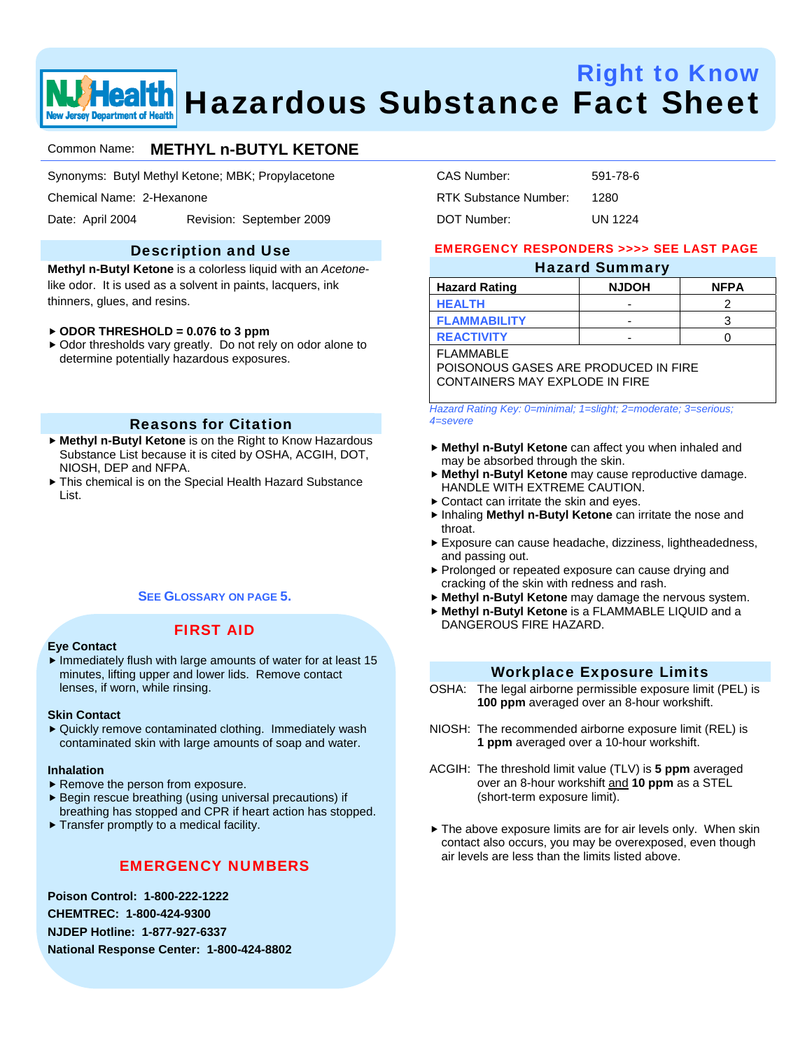

# Right to Know Health Hazardous Substance Fact Sheet

## Common Name: **METHYL n-BUTYL KETONE**

Synonyms: Butyl Methyl Ketone; MBK; Propylacetone

Chemical Name: 2-Hexanone

Date: April 2004 Revision: September 2009

### Description and Use

**Methyl n-Butyl Ketone** is a colorless liquid with an *Acetone*like odor. It is used as a solvent in paints, lacquers, ink thinners, glues, and resins.

#### f **ODOR THRESHOLD = 0.076 to 3 ppm**

 $\triangleright$  Odor thresholds vary greatly. Do not rely on odor alone to determine potentially hazardous exposures.

#### Reasons for Citation

- **K** Methyl n-Butyl Ketone is on the Right to Know Hazardous Substance List because it is cited by OSHA, ACGIH, DOT, NIOSH, DEP and NFPA.
- $\blacktriangleright$  This chemical is on the Special Health Hazard Substance List.

#### **SEE GLOSSARY ON PAGE 5.**

### FIRST AID

#### **Eye Contact**

 $\blacktriangleright$  Immediately flush with large amounts of water for at least 15 minutes, lifting upper and lower lids. Remove contact lenses, if worn, while rinsing.

#### **Skin Contact**

▶ Quickly remove contaminated clothing. Immediately wash contaminated skin with large amounts of soap and water.

#### **Inhalation**

- $\blacktriangleright$  Remove the person from exposure.
- $\blacktriangleright$  Begin rescue breathing (using universal precautions) if breathing has stopped and CPR if heart action has stopped.
- $\blacktriangleright$  Transfer promptly to a medical facility.

### EMERGENCY NUMBERS

**Poison Control: 1-800-222-1222 CHEMTREC: 1-800-424-9300 NJDEP Hotline: 1-877-927-6337 National Response Center: 1-800-424-8802** 

| CAS Number:           | 591-78-6 |
|-----------------------|----------|
| RTK Substance Number: | 1280     |
| DOT Number:           | UN 1224  |

#### EMERGENCY RESPONDERS >>>> SEE LAST PAGE

#### Hazard Summary

| <b>Hazard Rating</b> | <b>NJDOH</b> | <b>NFPA</b> |
|----------------------|--------------|-------------|
| <b>HEALTH</b>        |              |             |
| <b>FLAMMABILITY</b>  |              |             |
| <b>REACTIVITY</b>    |              |             |

**FI AMMARI F** 

POISONOUS GASES ARE PRODUCED IN FIRE CONTAINERS MAY EXPLODE IN FIRE

*Hazard Rating Key: 0=minimal; 1=slight; 2=moderate; 3=serious; 4=severe*

- **Methyl n-Butyl Ketone** can affect you when inhaled and may be absorbed through the skin.
- **Methyl n-Butyl Ketone** may cause reproductive damage. HANDLE WITH EXTREME CAUTION.
- $\blacktriangleright$  Contact can irritate the skin and eyes.
- **F** Inhaling Methyl n-Butyl Ketone can irritate the nose and throat.
- $\blacktriangleright$  Exposure can cause headache, dizziness, lightheadedness, and passing out.
- Prolonged or repeated exposure can cause drying and cracking of the skin with redness and rash.
- **Methyl n-Butyl Ketone** may damage the nervous system.
- **Methyl n-Butyl Ketone** is a FLAMMABLE LIQUID and a DANGEROUS FIRE HAZARD.

### Workplace Exposure Limits

- OSHA: The legal airborne permissible exposure limit (PEL) is **100 ppm** averaged over an 8-hour workshift.
- NIOSH: The recommended airborne exposure limit (REL) is **1 ppm** averaged over a 10-hour workshift.
- ACGIH: The threshold limit value (TLV) is **5 ppm** averaged over an 8-hour workshift and **10 ppm** as a STEL (short-term exposure limit).
- $\triangleright$  The above exposure limits are for air levels only. When skin contact also occurs, you may be overexposed, even though air levels are less than the limits listed above.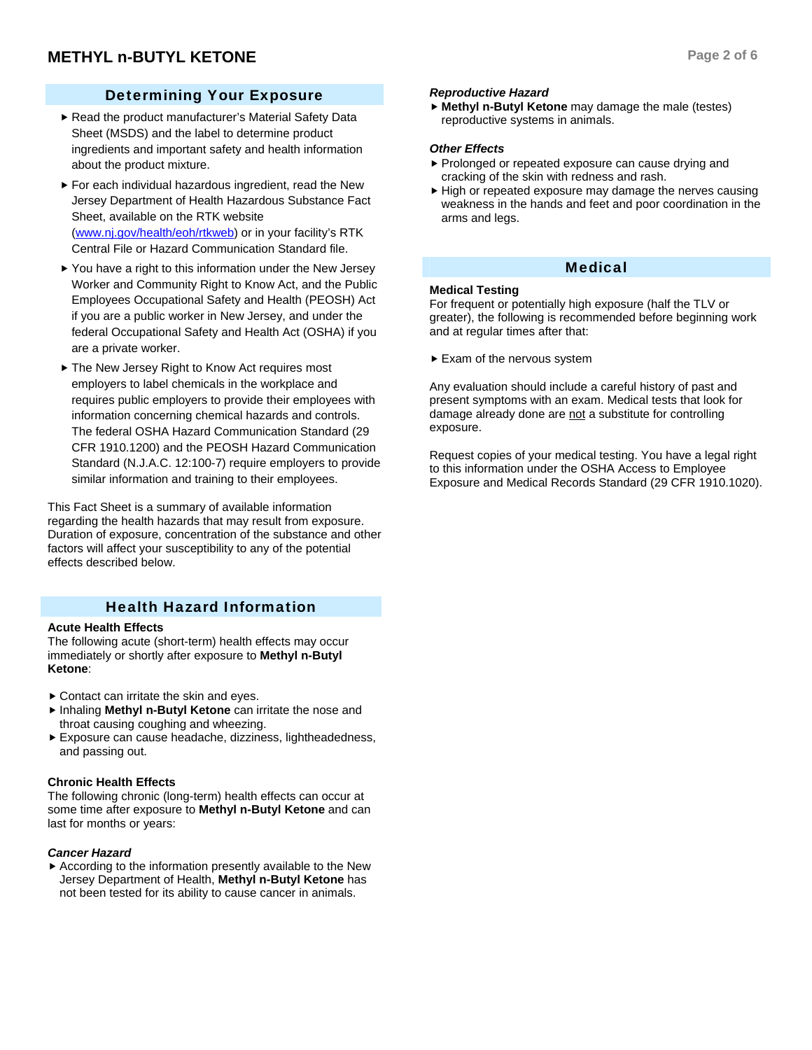### Determining Your Exposure

- Read the product manufacturer's Material Safety Data Sheet (MSDS) and the label to determine product ingredients and important safety and health information about the product mixture.
- $\blacktriangleright$  For each individual hazardous ingredient, read the New Jersey Department of Health Hazardous Substance Fact Sheet, available on the RTK website (www.nj.gov/health/eoh/rtkweb) or in your facility's RTK Central File or Hazard Communication Standard file.
- $\blacktriangleright$  You have a right to this information under the New Jersey Worker and Community Right to Know Act, and the Public Employees Occupational Safety and Health (PEOSH) Act if you are a public worker in New Jersey, and under the federal Occupational Safety and Health Act (OSHA) if you are a private worker.
- ▶ The New Jersey Right to Know Act requires most employers to label chemicals in the workplace and requires public employers to provide their employees with information concerning chemical hazards and controls. The federal OSHA Hazard Communication Standard (29 CFR 1910.1200) and the PEOSH Hazard Communication Standard (N.J.A.C. 12:100-7) require employers to provide similar information and training to their employees.

This Fact Sheet is a summary of available information regarding the health hazards that may result from exposure. Duration of exposure, concentration of the substance and other factors will affect your susceptibility to any of the potential effects described below.

## Health Hazard Information

#### **Acute Health Effects**

The following acute (short-term) health effects may occur immediately or shortly after exposure to **Methyl n-Butyl Ketone**:

- $\triangleright$  Contact can irritate the skin and eyes.
- **F** Inhaling Methyl n-Butyl Ketone can irritate the nose and throat causing coughing and wheezing.
- Exposure can cause headache, dizziness, lightheadedness, and passing out.

#### **Chronic Health Effects**

The following chronic (long-term) health effects can occur at some time after exposure to **Methyl n-Butyl Ketone** and can last for months or years:

#### *Cancer Hazard*

 $\blacktriangleright$  According to the information presently available to the New Jersey Department of Health, **Methyl n-Butyl Ketone** has not been tested for its ability to cause cancer in animals.

#### *Reproductive Hazard*

**• Methyl n-Butyl Ketone** may damage the male (testes) reproductive systems in animals.

#### *Other Effects*

- $\blacktriangleright$  Prolonged or repeated exposure can cause drying and cracking of the skin with redness and rash.
- $\blacktriangleright$  High or repeated exposure may damage the nerves causing weakness in the hands and feet and poor coordination in the arms and legs.

#### Medical

#### **Medical Testing**

For frequent or potentially high exposure (half the TLV or greater), the following is recommended before beginning work and at regular times after that:

 $\blacktriangleright$  Exam of the nervous system

Any evaluation should include a careful history of past and present symptoms with an exam. Medical tests that look for damage already done are not a substitute for controlling exposure.

Request copies of your medical testing. You have a legal right to this information under the OSHA Access to Employee Exposure and Medical Records Standard (29 CFR 1910.1020).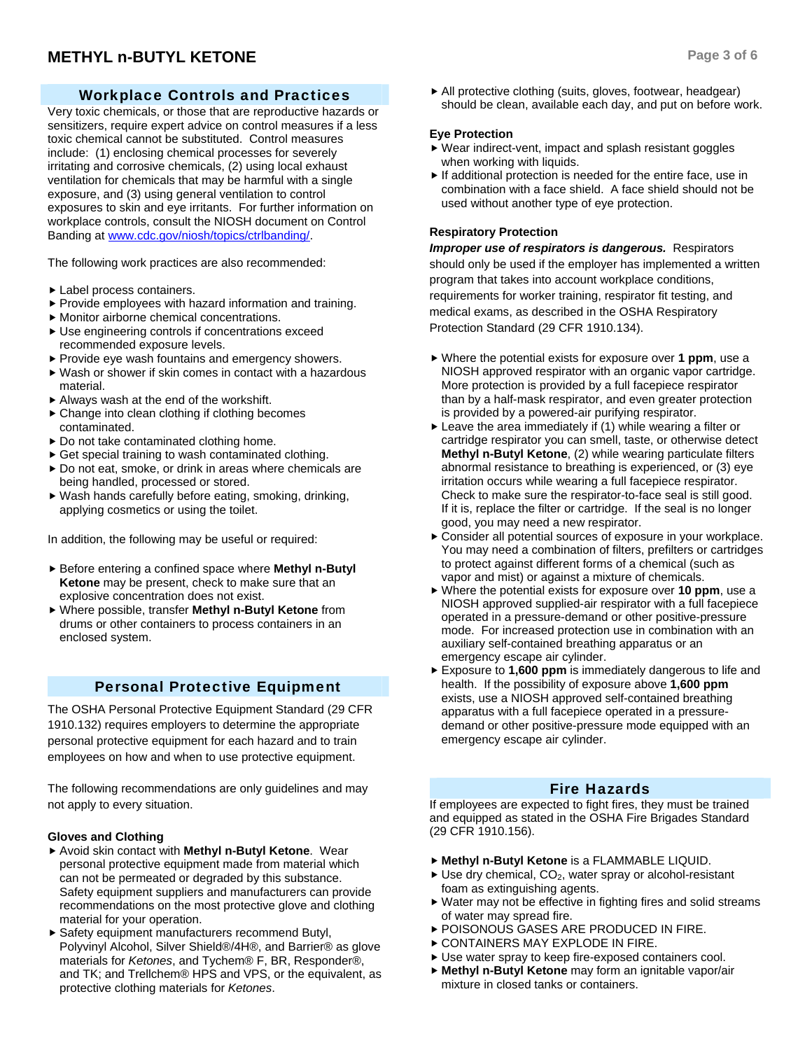## Workplace Controls and Practices

Very toxic chemicals, or those that are reproductive hazards or sensitizers, require expert advice on control measures if a less toxic chemical cannot be substituted. Control measures include: (1) enclosing chemical processes for severely irritating and corrosive chemicals, (2) using local exhaust ventilation for chemicals that may be harmful with a single exposure, and (3) using general ventilation to control exposures to skin and eye irritants. For further information on workplace controls, consult the NIOSH document on Control Banding at www.cdc.gov/niosh/topics/ctrlbanding/.

The following work practices are also recommended:

- $\blacktriangleright$  Label process containers.
- $\blacktriangleright$  Provide employees with hazard information and training.
- $\blacktriangleright$  Monitor airborne chemical concentrations.
- $\blacktriangleright$  Use engineering controls if concentrations exceed recommended exposure levels.
- $\blacktriangleright$  Provide eye wash fountains and emergency showers.
- $\blacktriangleright$  Wash or shower if skin comes in contact with a hazardous material.
- $\blacktriangleright$  Always wash at the end of the workshift.
- $\triangleright$  Change into clean clothing if clothing becomes contaminated.
- $\triangleright$  Do not take contaminated clothing home.
- $\triangleright$  Get special training to wash contaminated clothing.
- $\triangleright$  Do not eat, smoke, or drink in areas where chemicals are being handled, processed or stored.
- $\blacktriangleright$  Wash hands carefully before eating, smoking, drinking, applying cosmetics or using the toilet.

In addition, the following may be useful or required:

- ▶ Before entering a confined space where Methyl n-Butyl **Ketone** may be present, check to make sure that an explosive concentration does not exist.
- $\triangleright$  Where possible, transfer Methyl n-Butyl Ketone from drums or other containers to process containers in an enclosed system.

#### Personal Protective Equipment

The OSHA Personal Protective Equipment Standard (29 CFR 1910.132) requires employers to determine the appropriate personal protective equipment for each hazard and to train employees on how and when to use protective equipment.

The following recommendations are only guidelines and may not apply to every situation.

#### **Gloves and Clothing**

- f Avoid skin contact with **Methyl n-Butyl Ketone**. Wear personal protective equipment made from material which can not be permeated or degraded by this substance. Safety equipment suppliers and manufacturers can provide recommendations on the most protective glove and clothing material for your operation.
- ▶ Safety equipment manufacturers recommend Butyl, Polyvinyl Alcohol, Silver Shield®/4H®, and Barrier® as glove materials for *Ketones*, and Tychem® F, BR, Responder®, and TK; and Trellchem® HPS and VPS, or the equivalent, as protective clothing materials for *Ketones*.

 $\blacktriangleright$  All protective clothing (suits, gloves, footwear, headgear) should be clean, available each day, and put on before work.

#### **Eye Protection**

- $\blacktriangleright$  Wear indirect-vent, impact and splash resistant goggles when working with liquids.
- $\blacktriangleright$  If additional protection is needed for the entire face, use in combination with a face shield. A face shield should not be used without another type of eye protection.

#### **Respiratory Protection**

*Improper use of respirators is dangerous.* Respirators should only be used if the employer has implemented a written program that takes into account workplace conditions, requirements for worker training, respirator fit testing, and medical exams, as described in the OSHA Respiratory Protection Standard (29 CFR 1910.134).

- Where the potential exists for exposure over 1 ppm, use a NIOSH approved respirator with an organic vapor cartridge. More protection is provided by a full facepiece respirator than by a half-mask respirator, and even greater protection is provided by a powered-air purifying respirator.
- $\blacktriangleright$  Leave the area immediately if (1) while wearing a filter or cartridge respirator you can smell, taste, or otherwise detect **Methyl n-Butyl Ketone**, (2) while wearing particulate filters abnormal resistance to breathing is experienced, or (3) eye irritation occurs while wearing a full facepiece respirator. Check to make sure the respirator-to-face seal is still good. If it is, replace the filter or cartridge. If the seal is no longer good, you may need a new respirator.
- $\triangleright$  Consider all potential sources of exposure in your workplace. You may need a combination of filters, prefilters or cartridges to protect against different forms of a chemical (such as vapor and mist) or against a mixture of chemicals.
- ▶ Where the potential exists for exposure over 10 ppm, use a NIOSH approved supplied-air respirator with a full facepiece operated in a pressure-demand or other positive-pressure mode. For increased protection use in combination with an auxiliary self-contained breathing apparatus or an emergency escape air cylinder.
- ► Exposure to **1,600 ppm** is immediately dangerous to life and health. If the possibility of exposure above **1,600 ppm** exists, use a NIOSH approved self-contained breathing apparatus with a full facepiece operated in a pressuredemand or other positive-pressure mode equipped with an emergency escape air cylinder.

#### Fire Hazards

If employees are expected to fight fires, they must be trained and equipped as stated in the OSHA Fire Brigades Standard (29 CFR 1910.156).

- **F** Methyl n-Butyl Ketone is a FLAMMABLE LIQUID.
- $\triangleright$  Use dry chemical, CO<sub>2</sub>, water spray or alcohol-resistant foam as extinguishing agents.
- $\blacktriangleright$  Water may not be effective in fighting fires and solid streams of water may spread fire.
- **POISONOUS GASES ARE PRODUCED IN FIRE.**
- **EXPLODE IN FIRE.**
- $\blacktriangleright$  Use water spray to keep fire-exposed containers cool.
- **Methyl n-Butyl Ketone** may form an ignitable vapor/air mixture in closed tanks or containers.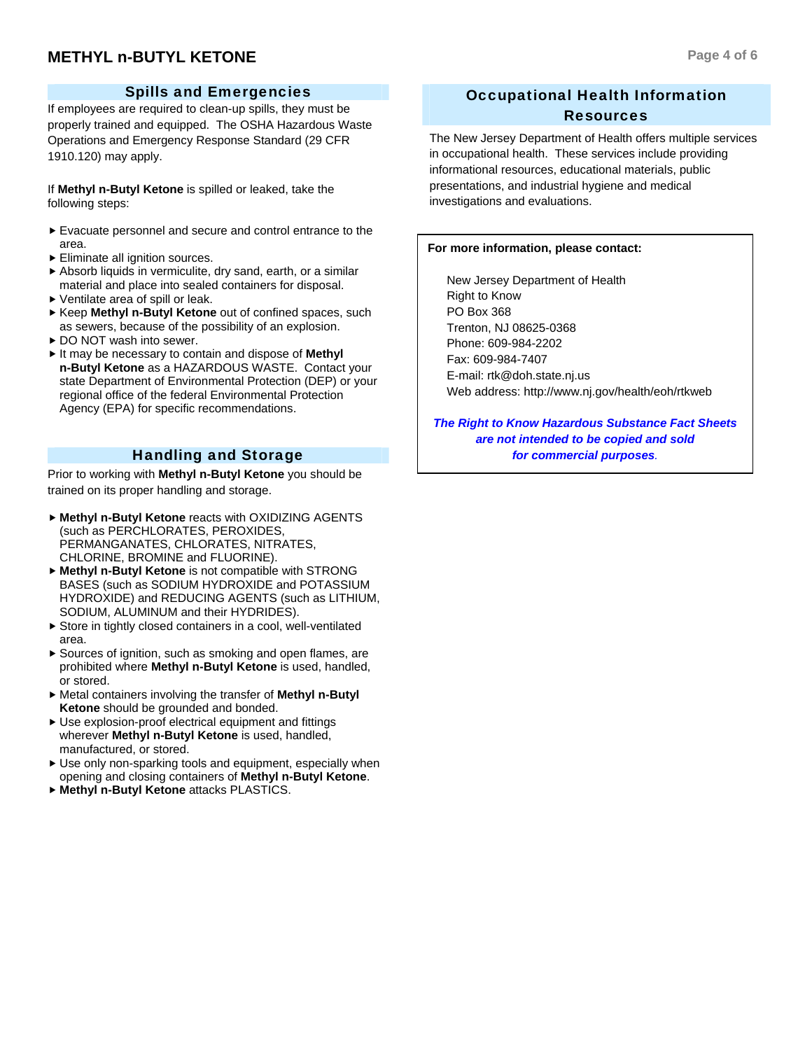## **METHYL n-BUTYL KETONE Page 4 of 6**

If employees are required to clean-up spills, they must be properly trained and equipped. The OSHA Hazardous Waste Operations and Emergency Response Standard (29 CFR 1910.120) may apply.

If **Methyl n-Butyl Ketone** is spilled or leaked, take the following steps:

- $\blacktriangleright$  Evacuate personnel and secure and control entrance to the area.
- $\blacktriangleright$  Eliminate all ignition sources.
- $\blacktriangleright$  Absorb liquids in vermiculite, dry sand, earth, or a similar material and place into sealed containers for disposal.
- $\blacktriangleright$  Ventilate area of spill or leak.
- f Keep **Methyl n-Butyl Ketone** out of confined spaces, such as sewers, because of the possibility of an explosion.
- ▶ DO NOT wash into sewer.
- ► It may be necessary to contain and dispose of Methyl **n-Butyl Ketone** as a HAZARDOUS WASTE. Contact your state Department of Environmental Protection (DEP) or your regional office of the federal Environmental Protection Agency (EPA) for specific recommendations.

## Handling and Storage

Prior to working with **Methyl n-Butyl Ketone** you should be trained on its proper handling and storage.

- **Methyl n-Butyl Ketone** reacts with OXIDIZING AGENTS (such as PERCHLORATES, PEROXIDES, PERMANGANATES, CHLORATES, NITRATES, CHLORINE, BROMINE and FLUORINE).
- **Example 1 Methyl n-Butyl Ketone** is not compatible with STRONG BASES (such as SODIUM HYDROXIDE and POTASSIUM HYDROXIDE) and REDUCING AGENTS (such as LITHIUM, SODIUM, ALUMINUM and their HYDRIDES).
- $\triangleright$  Store in tightly closed containers in a cool, well-ventilated area.
- $\triangleright$  Sources of ignition, such as smoking and open flames, are prohibited where **Methyl n-Butyl Ketone** is used, handled, or stored.
- ▶ Metal containers involving the transfer of Methyl n-Butyl **Ketone** should be grounded and bonded.
- $\blacktriangleright$  Use explosion-proof electrical equipment and fittings wherever **Methyl n-Butyl Ketone** is used, handled, manufactured, or stored.
- $\blacktriangleright$  Use only non-sparking tools and equipment, especially when opening and closing containers of **Methyl n-Butyl Ketone**.
- **F** Methyl n-Butyl Ketone attacks PLASTICS.

## Occupational Health Information Resources

The New Jersey Department of Health offers multiple services in occupational health. These services include providing informational resources, educational materials, public presentations, and industrial hygiene and medical investigations and evaluations.

#### **For more information, please contact:**

 New Jersey Department of Health Right to Know PO Box 368 Trenton, NJ 08625-0368 Phone: 609-984-2202 Fax: 609-984-7407 E-mail: rtk@doh.state.nj.us Web address: http://www.nj.gov/health/eoh/rtkweb

*The Right to Know Hazardous Substance Fact Sheets are not intended to be copied and sold for commercial purposes.*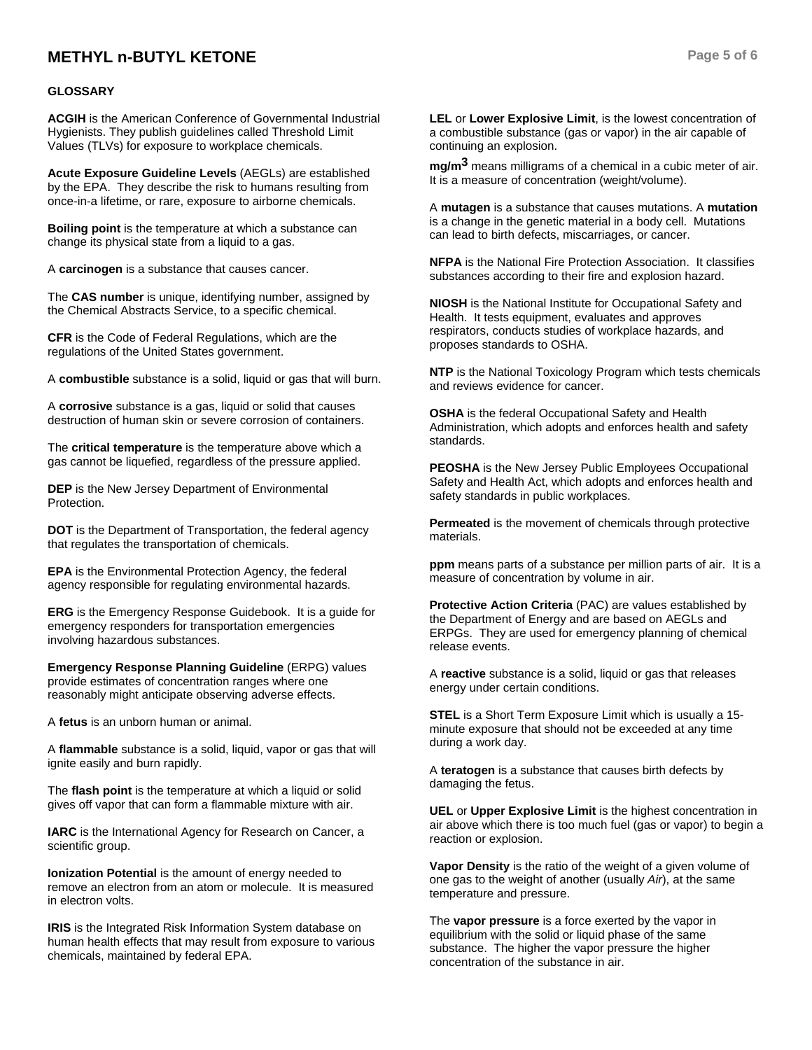## **METHYL n-BUTYL KETONE Page 5 of 6**

#### **GLOSSARY**

**ACGIH** is the American Conference of Governmental Industrial Hygienists. They publish guidelines called Threshold Limit Values (TLVs) for exposure to workplace chemicals.

**Acute Exposure Guideline Levels** (AEGLs) are established by the EPA. They describe the risk to humans resulting from once-in-a lifetime, or rare, exposure to airborne chemicals.

**Boiling point** is the temperature at which a substance can change its physical state from a liquid to a gas.

A **carcinogen** is a substance that causes cancer.

The **CAS number** is unique, identifying number, assigned by the Chemical Abstracts Service, to a specific chemical.

**CFR** is the Code of Federal Regulations, which are the regulations of the United States government.

A **combustible** substance is a solid, liquid or gas that will burn.

A **corrosive** substance is a gas, liquid or solid that causes destruction of human skin or severe corrosion of containers.

The **critical temperature** is the temperature above which a gas cannot be liquefied, regardless of the pressure applied.

**DEP** is the New Jersey Department of Environmental Protection.

**DOT** is the Department of Transportation, the federal agency that regulates the transportation of chemicals.

**EPA** is the Environmental Protection Agency, the federal agency responsible for regulating environmental hazards.

**ERG** is the Emergency Response Guidebook. It is a guide for emergency responders for transportation emergencies involving hazardous substances.

**Emergency Response Planning Guideline** (ERPG) values provide estimates of concentration ranges where one reasonably might anticipate observing adverse effects.

A **fetus** is an unborn human or animal.

A **flammable** substance is a solid, liquid, vapor or gas that will ignite easily and burn rapidly.

The **flash point** is the temperature at which a liquid or solid gives off vapor that can form a flammable mixture with air.

**IARC** is the International Agency for Research on Cancer, a scientific group.

**Ionization Potential** is the amount of energy needed to remove an electron from an atom or molecule. It is measured in electron volts.

**IRIS** is the Integrated Risk Information System database on human health effects that may result from exposure to various chemicals, maintained by federal EPA.

**LEL** or **Lower Explosive Limit**, is the lowest concentration of a combustible substance (gas or vapor) in the air capable of continuing an explosion.

**mg/m3** means milligrams of a chemical in a cubic meter of air. It is a measure of concentration (weight/volume).

A **mutagen** is a substance that causes mutations. A **mutation** is a change in the genetic material in a body cell. Mutations can lead to birth defects, miscarriages, or cancer.

**NFPA** is the National Fire Protection Association. It classifies substances according to their fire and explosion hazard.

**NIOSH** is the National Institute for Occupational Safety and Health. It tests equipment, evaluates and approves respirators, conducts studies of workplace hazards, and proposes standards to OSHA.

**NTP** is the National Toxicology Program which tests chemicals and reviews evidence for cancer.

**OSHA** is the federal Occupational Safety and Health Administration, which adopts and enforces health and safety standards.

**PEOSHA** is the New Jersey Public Employees Occupational Safety and Health Act, which adopts and enforces health and safety standards in public workplaces.

**Permeated** is the movement of chemicals through protective materials.

**ppm** means parts of a substance per million parts of air. It is a measure of concentration by volume in air.

**Protective Action Criteria** (PAC) are values established by the Department of Energy and are based on AEGLs and ERPGs. They are used for emergency planning of chemical release events.

A **reactive** substance is a solid, liquid or gas that releases energy under certain conditions.

**STEL** is a Short Term Exposure Limit which is usually a 15 minute exposure that should not be exceeded at any time during a work day.

A **teratogen** is a substance that causes birth defects by damaging the fetus.

**UEL** or **Upper Explosive Limit** is the highest concentration in air above which there is too much fuel (gas or vapor) to begin a reaction or explosion.

**Vapor Density** is the ratio of the weight of a given volume of one gas to the weight of another (usually *Air*), at the same temperature and pressure.

The **vapor pressure** is a force exerted by the vapor in equilibrium with the solid or liquid phase of the same substance. The higher the vapor pressure the higher concentration of the substance in air.